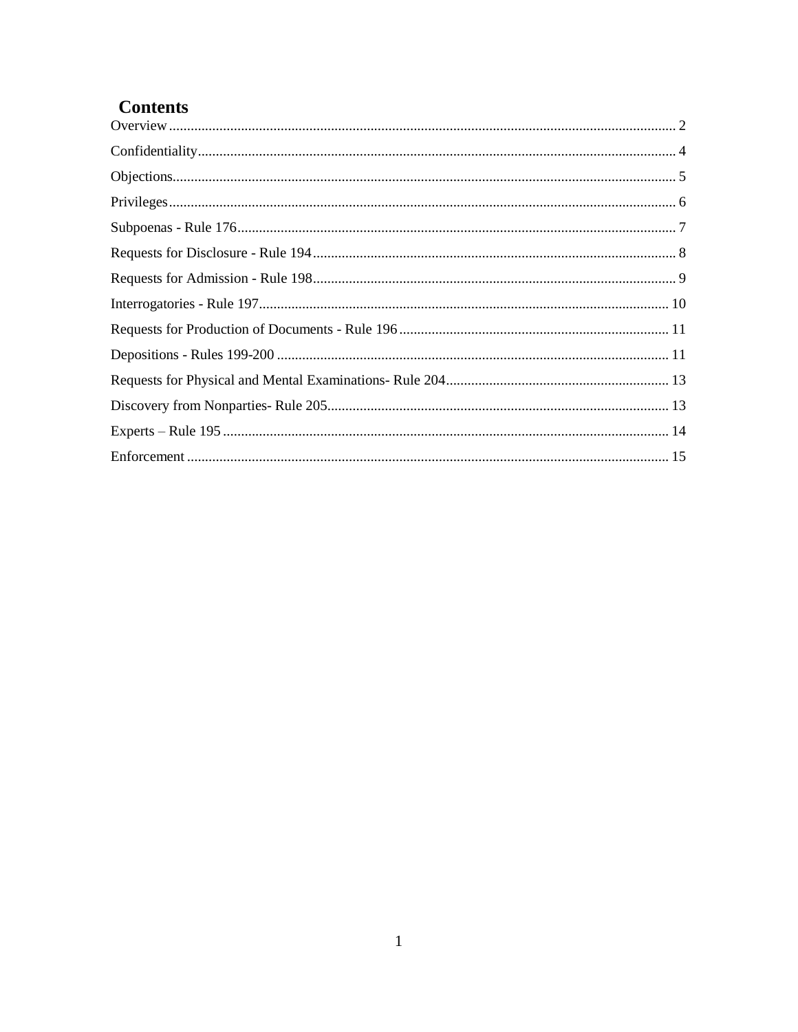# **Contents**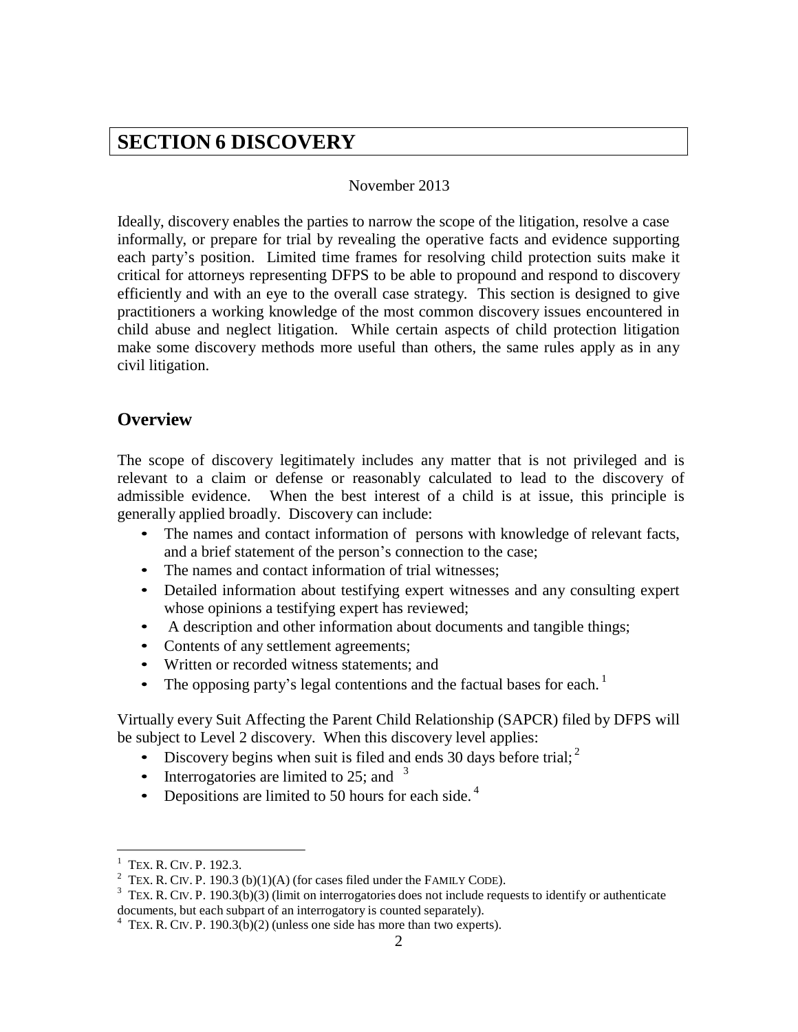# **SECTION 6 DISCOVERY**

#### November 2013

Ideally, discovery enables the parties to narrow the scope of the litigation, resolve a case informally, or prepare for trial by revealing the operative facts and evidence supporting each party's position. Limited time frames for resolving child protection suits make it critical for attorneys representing DFPS to be able to propound and respond to discovery efficiently and with an eye to the overall case strategy. This section is designed to give practitioners a working knowledge of the most common discovery issues encountered in child abuse and neglect litigation. While certain aspects of child protection litigation make some discovery methods more useful than others, the same rules apply as in any civil litigation.

#### <span id="page-1-0"></span>**Overview**

The scope of discovery legitimately includes any matter that is not privileged and is relevant to a claim or defense or reasonably calculated to lead to the discovery of admissible evidence. When the best interest of a child is at issue, this principle is generally applied broadly. Discovery can include:

- The names and contact information of persons with knowledge of relevant facts, and a brief statement of the person's connection to the case;
- The names and contact information of trial witnesses;
- Detailed information about testifying expert witnesses and any consulting expert whose opinions a testifying expert has reviewed;
- A description and other information about documents and tangible things;
- Contents of any settlement agreements;
- Written or recorded witness statements; and
- The opposing party's legal contentions and the factual bases for each.<sup>1</sup>

Virtually every Suit Affecting the Parent Child Relationship (SAPCR) filed by DFPS will be subject to Level 2 discovery. When this discovery level applies:

- Discovery begins when suit is filed and ends 30 days before trial;  $2^2$
- Interrogatories are limited to 25; and  $3$
- Depositions are limited to 50 hours for each side.  $4\overline{ }$

TEX. R. CIV. P. 192.3.

<sup>&</sup>lt;sup>2</sup> TEX. R. CIV. P. 190.3 (b)(1)(A) (for cases filed under the FAMILY CODE).

 $3$  TEX. R. CIV. P. 190.3(b)(3) (limit on interrogatories does not include requests to identify or authenticate documents, but each subpart of an interrogatory is counted separately).

 $4$  TEX. R. CIV. P. 190.3(b)(2) (unless one side has more than two experts).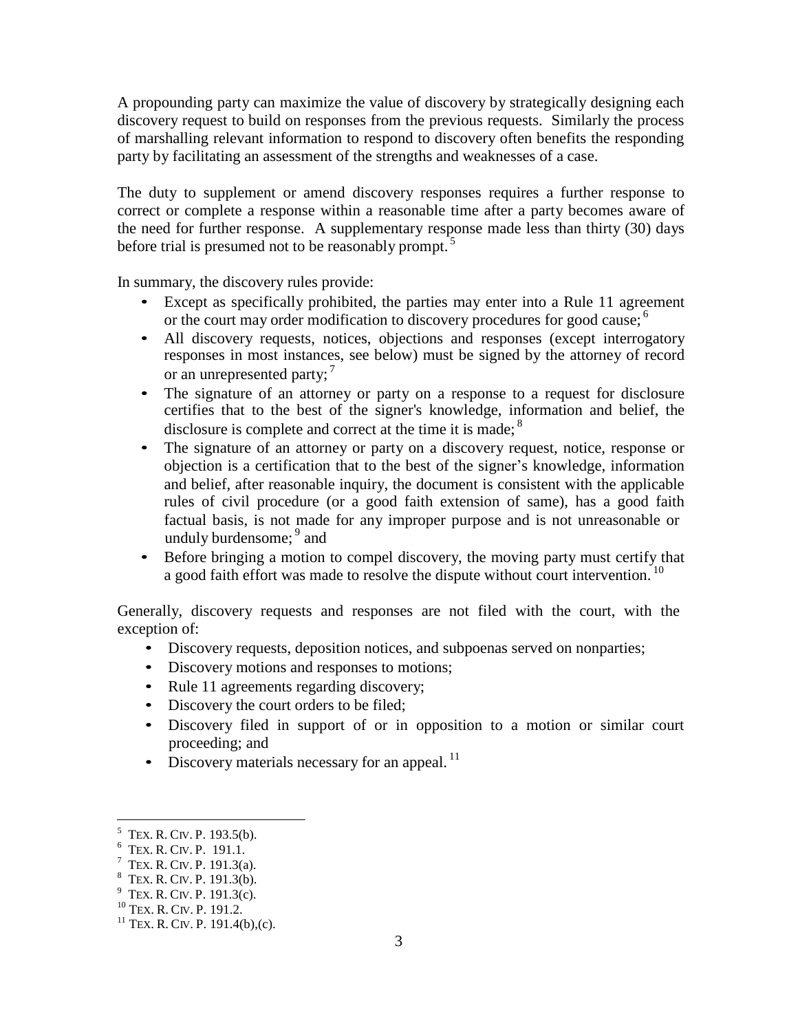A propounding party can maximize the value of discovery by strategically designing each discovery request to build on responses from the previous requests. Similarly the process of marshalling relevant information to respond to discovery often benefits the responding party by facilitating an assessment of the strengths and weaknesses of a case.

The duty to supplement or amend discovery responses requires a further response to correct or complete a response within a reasonable time after a party becomes aware of the need for further response. A supplementary response made less than thirty (30) days before trial is presumed not to be reasonably prompt.<sup>5</sup>

In summary, the discovery rules provide:

- Except as specifically prohibited, the parties may enter into a Rule 11 agreement or the court may order modification to discovery procedures for good cause;<sup>6</sup>
- All discovery requests, notices, objections and responses (except interrogatory responses in most instances, see below) must be signed by the attorney of record or an unrepresented party;  $^7$
- The signature of an attorney or party on a response to a request for disclosure certifies that to the best of the signer's knowledge, information and belief, the disclosure is complete and correct at the time it is made;<sup>8</sup>
- The signature of an attorney or party on a discovery request, notice, response or objection is a certification that to the best of the signer's knowledge, information and belief, after reasonable inquiry, the document is consistent with the applicable rules of civil procedure (or a good faith extension of same), has a good faith factual basis, is not made for any improper purpose and is not unreasonable or unduly burdensome; <sup>9</sup> and
- Before bringing a motion to compel discovery, the moving party must certify that a good faith effort was made to resolve the dispute without court intervention.<sup>10</sup>

Generally, discovery requests and responses are not filed with the court, with the exception of:

- Discovery requests, deposition notices, and subpoenas served on nonparties;
- Discovery motions and responses to motions;
- Rule 11 agreements regarding discovery;
- Discovery the court orders to be filed;
- Discovery filed in support of or in opposition to a motion or similar court proceeding; and
- Discovery materials necessary for an appeal.<sup>11</sup>

 $<sup>5</sup>$  TEX. R. CIV. P. 193.5(b).</sup>

 $6$  TEX. R. CIV. P. 191.1.

 $7$  TEX. R. CIV. P. 191.3(a).

 $8^8$  TEX. R. CIV. P. 191.3(b).

 $9$  Tex. R. Civ. P. 191.3(c).

<sup>10</sup> TEX. R. CIV. P. 191.2.

 $11$  TEX. R. CIV. P. 191.4(b),(c).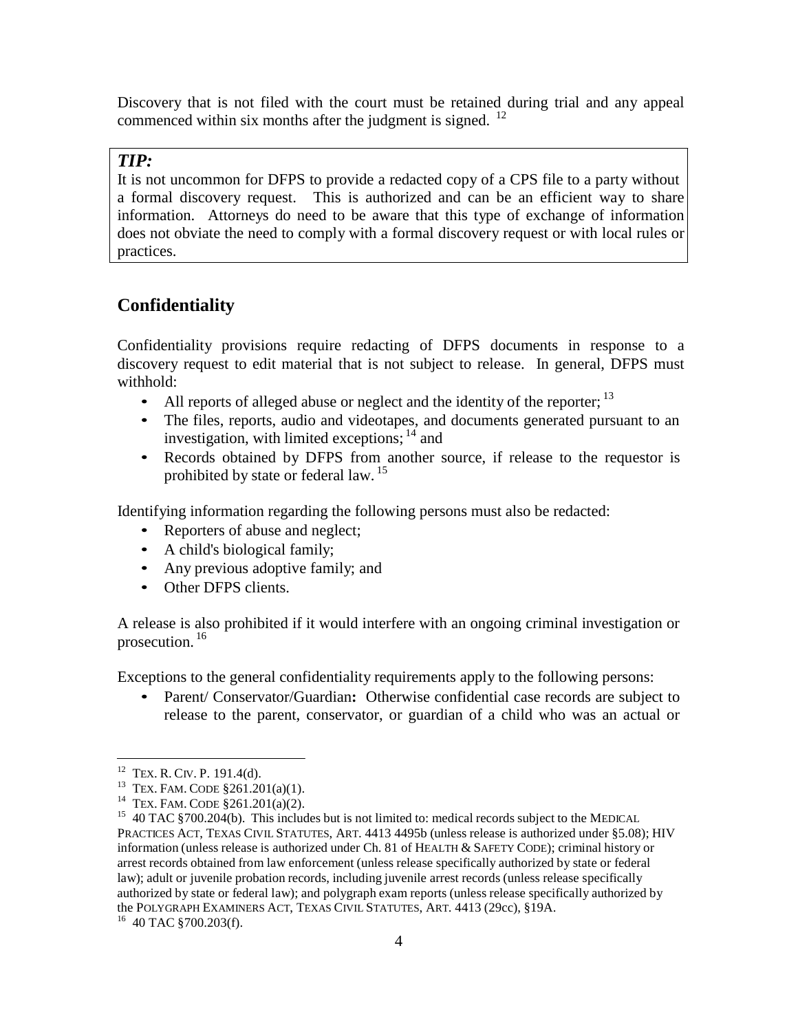Discovery that is not filed with the court must be retained during trial and any appeal commenced within six months after the judgment is signed.  $^{12}$ 

#### *TIP:*

It is not uncommon for DFPS to provide a redacted copy of a CPS file to a party without a formal discovery request. This is authorized and can be an efficient way to share information. Attorneys do need to be aware that this type of exchange of information does not obviate the need to comply with a formal discovery request or with local rules or practices.

## <span id="page-3-0"></span>**Confidentiality**

Confidentiality provisions require redacting of DFPS documents in response to a discovery request to edit material that is not subject to release. In general, DFPS must withhold:

- All reports of alleged abuse or neglect and the identity of the reporter;  $13$
- The files, reports, audio and videotapes, and documents generated pursuant to an investigation, with limited exceptions;  $14$  and
- Records obtained by DFPS from another source, if release to the requestor is prohibited by state or federal law. 15

Identifying information regarding the following persons must also be redacted:

- Reporters of abuse and neglect;
- A child's biological family;
- Any previous adoptive family; and
- Other DFPS clients.

A release is also prohibited if it would interfere with an ongoing criminal investigation or prosecution. <sup>16</sup>

Exceptions to the general confidentiality requirements apply to the following persons:

• Parent/ Conservator/Guardian**:** Otherwise confidential case records are subject to release to the parent, conservator, or guardian of a child who was an actual or

 $12$  TEX. R. CIV. P. 191.4(d).

<sup>&</sup>lt;sup>13</sup> TEX. FAM. CODE  $$261.201(a)(1)$ .

<sup>&</sup>lt;sup>14</sup> TEX. FAM. CODE  $\S 261.201(a)(2)$ .

<sup>&</sup>lt;sup>15</sup> 40 TAC §700.204(b). This includes but is not limited to: medical records subject to the MEDICAL PRACTICES ACT, TEXAS CIVIL STATUTES, ART. 4413 4495b (unless release is authorized under §5.08); HIV information (unless release is authorized under Ch. 81 of HEALTH & SAFETY CODE); criminal history or arrest records obtained from law enforcement (unless release specifically authorized by state or federal law); adult or juvenile probation records, including juvenile arrest records (unless release specifically authorized by state or federal law); and polygraph exam reports (unless release specifically authorized by the POLYGRAPH EXAMINERS ACT, TEXAS CIVIL STATUTES, ART. 4413 (29cc), §19A.

 $16$  40 TAC §700.203(f).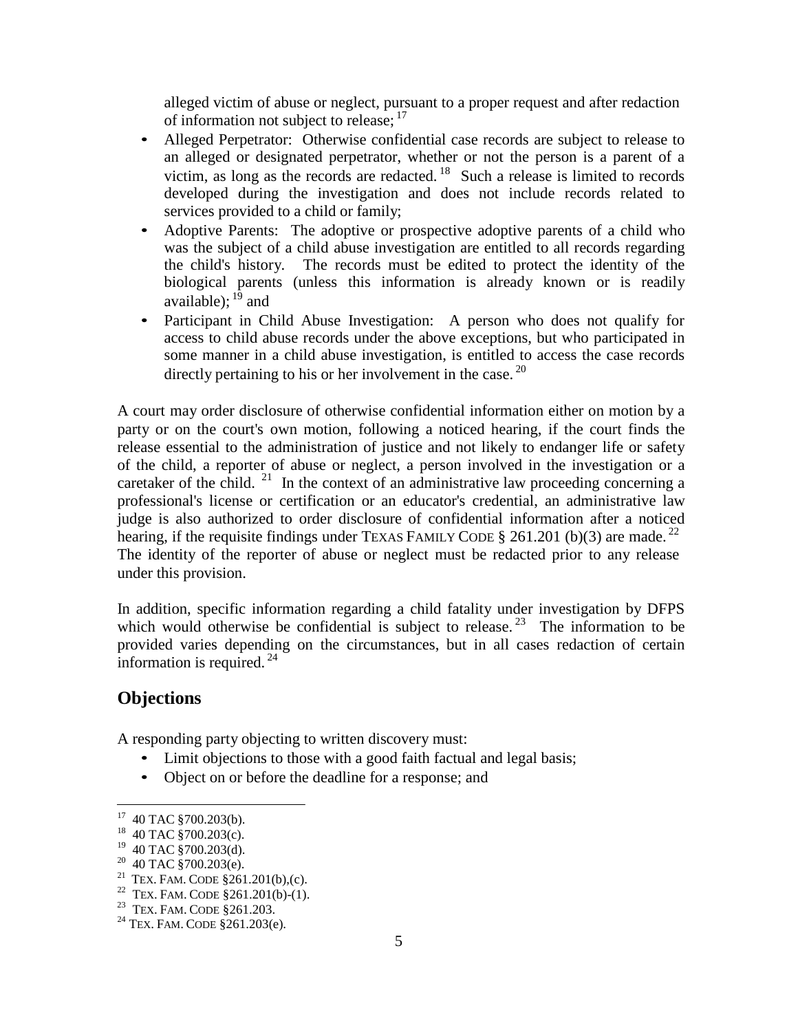alleged victim of abuse or neglect, pursuant to a proper request and after redaction of information not subject to release; <sup>17</sup>

- Alleged Perpetrator: Otherwise confidential case records are subject to release to an alleged or designated perpetrator, whether or not the person is a parent of a victim, as long as the records are redacted.  $18$  Such a release is limited to records developed during the investigation and does not include records related to services provided to a child or family;
- Adoptive Parents: The adoptive or prospective adoptive parents of a child who was the subject of a child abuse investigation are entitled to all records regarding the child's history. The records must be edited to protect the identity of the biological parents (unless this information is already known or is readily available); <sup>19</sup> and
- Participant in Child Abuse Investigation: A person who does not qualify for access to child abuse records under the above exceptions, but who participated in some manner in a child abuse investigation, is entitled to access the case records directly pertaining to his or her involvement in the case.  $^{20}$

A court may order disclosure of otherwise confidential information either on motion by a party or on the court's own motion, following a noticed hearing, if the court finds the release essential to the administration of justice and not likely to endanger life or safety of the child, a reporter of abuse or neglect, a person involved in the investigation or a caretaker of the child. <sup>21</sup> In the context of an administrative law proceeding concerning a professional's license or certification or an educator's credential, an administrative law judge is also authorized to order disclosure of confidential information after a noticed hearing, if the requisite findings under TEXAS FAMILY CODE § 261.201 (b)(3) are made.<sup>22</sup> The identity of the reporter of abuse or neglect must be redacted prior to any release under this provision.

In addition, specific information regarding a child fatality under investigation by DFPS which would otherwise be confidential is subject to release.<sup>23</sup> The information to be provided varies depending on the circumstances, but in all cases redaction of certain information is required.  $^{24}$ 

## <span id="page-4-0"></span>**Objections**

A responding party objecting to written discovery must:

- Limit objections to those with a good faith factual and legal basis;
- Object on or before the deadline for a response; and

<sup>&</sup>lt;sup>17</sup> 40 TAC §700.203(b).

<sup>&</sup>lt;sup>18</sup> 40 TAC §700.203(c).

 $19$  40 TAC §700.203(d).

 $20$  40 TAC §700.203(e).

<sup>&</sup>lt;sup>21</sup> TEX. FAM. CODE  $$261.201(b),(c)$ .

<sup>&</sup>lt;sup>22</sup> TEX. FAM. CODE  $$261.201(b)-(1)$ .

<sup>&</sup>lt;sup>23</sup> TEX. FAM. CODE §261.203.

<sup>24</sup> TEX. FAM. CODE §261.203(e).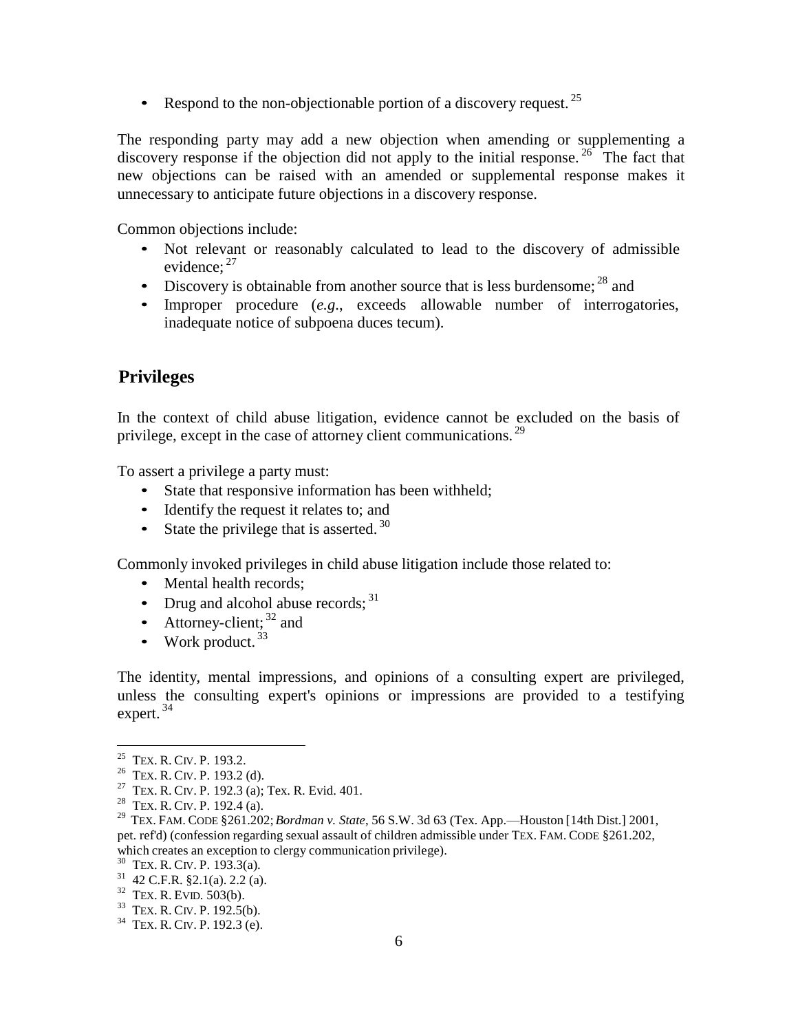• Respond to the non-objectionable portion of a discovery request.  $^{25}$ 

The responding party may add a new objection when amending or supplementing a discovery response if the objection did not apply to the initial response.  $26$  The fact that new objections can be raised with an amended or supplemental response makes it unnecessary to anticipate future objections in a discovery response.

Common objections include:

- Not relevant or reasonably calculated to lead to the discovery of admissible evidence;<sup>27</sup>
- Discovery is obtainable from another source that is less burdensome;  $^{28}$  and
- Improper procedure (*e.g*., exceeds allowable number of interrogatories, inadequate notice of subpoena duces tecum).

## <span id="page-5-0"></span>**Privileges**

In the context of child abuse litigation, evidence cannot be excluded on the basis of privilege, except in the case of attorney client communications.<sup>29</sup>

To assert a privilege a party must:

- State that responsive information has been withheld;
- Identify the request it relates to; and
- State the privilege that is asserted.  $30$

Commonly invoked privileges in child abuse litigation include those related to:

- Mental health records:
- Drug and alcohol abuse records; 31
- Attorney-client;  $32$  and
- Work product.  $33$

The identity, mental impressions, and opinions of a consulting expert are privileged, unless the consulting expert's opinions or impressions are provided to a testifying expert.  $34$ 

<sup>&</sup>lt;sup>25</sup> TEX. R. CIV. P. 193.2.

<sup>&</sup>lt;sup>26</sup> TEX. R. CIV. P. 193.2 (d).

<sup>&</sup>lt;sup>27</sup> TEX. R. CIV. P. 192.3 (a); Tex. R. Evid. 401.

 $28$  TEX. R. CIV. P. 192.4 (a).

<sup>29</sup>TEX. FAM. CODE §261.202; *Bordman v. State*, 56 S.W. 3d 63 (Tex. App.—Houston [14th Dist.] 2001, pet. ref'd) (confession regarding sexual assault of children admissible under TEX. FAM. CODE §261.202, which creates an exception to clergy communication privilege).

<sup>&</sup>lt;sup>30</sup> TEX. R. CIV. P. 193.3(a).

 $31$  42 C.F.R. §2.1(a). 2.2 (a).

 $32$  TEX. R. EVID.  $503(b)$ .

<sup>33</sup> TEX. R. CIV. P. 192.5(b).

<sup>34</sup> TEX. R. CIV. P. 192.3 (e).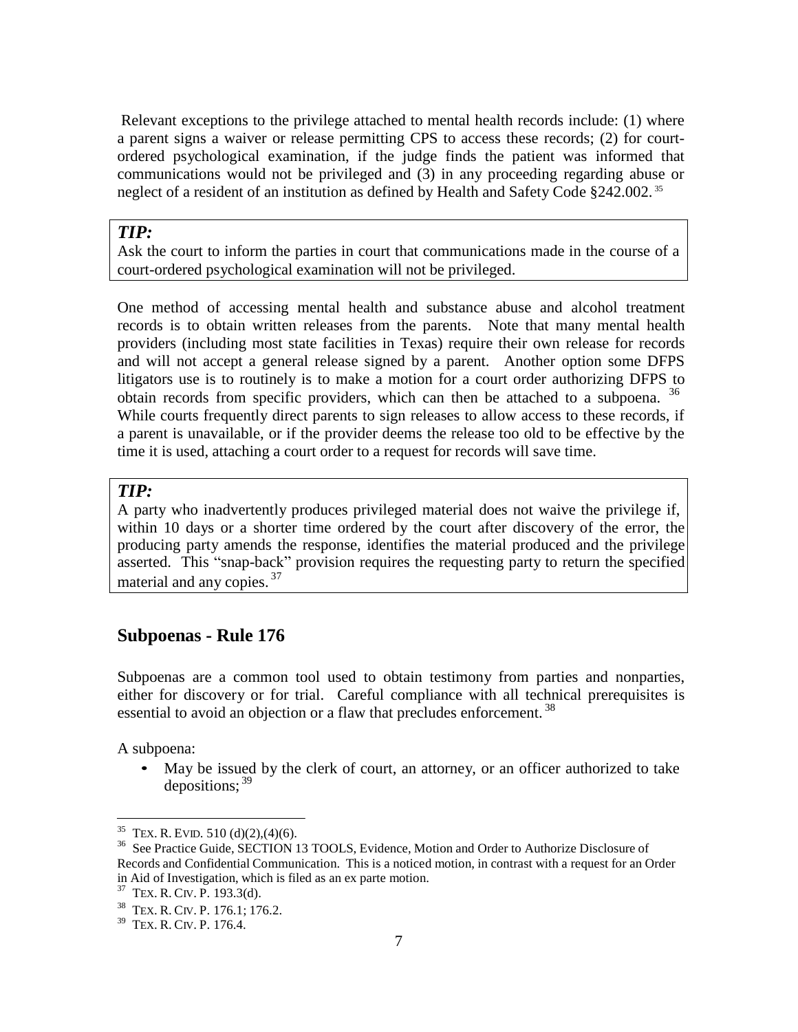Relevant exceptions to the privilege attached to mental health records include: (1) where a parent signs a waiver or release permitting CPS to access these records; (2) for courtordered psychological examination, if the judge finds the patient was informed that communications would not be privileged and (3) in any proceeding regarding abuse or neglect of a resident of an institution as defined by Health and Safety Code §242.002.<sup>35</sup>

#### *TIP:*

Ask the court to inform the parties in court that communications made in the course of a court-ordered psychological examination will not be privileged.

One method of accessing mental health and substance abuse and alcohol treatment records is to obtain written releases from the parents. Note that many mental health providers (including most state facilities in Texas) require their own release for records and will not accept a general release signed by a parent. Another option some DFPS litigators use is to routinely is to make a motion for a court order authorizing DFPS to obtain records from specific providers, which can then be attached to a subpoena. <sup>36</sup> While courts frequently direct parents to sign releases to allow access to these records, if a parent is unavailable, or if the provider deems the release too old to be effective by the time it is used, attaching a court order to a request for records will save time.

#### *TIP:*

A party who inadvertently produces privileged material does not waive the privilege if, within 10 days or a shorter time ordered by the court after discovery of the error, the producing party amends the response, identifies the material produced and the privilege asserted. This "snap-back" provision requires the requesting party to return the specified material and any copies.<sup>37</sup>

#### <span id="page-6-0"></span>**Subpoenas - Rule 176**

Subpoenas are a common tool used to obtain testimony from parties and nonparties, either for discovery or for trial. Careful compliance with all technical prerequisites is essential to avoid an objection or a flaw that precludes enforcement.<sup>38</sup>

A subpoena:

• May be issued by the clerk of court, an attorney, or an officer authorized to take depositions;  $39$ 

<sup>&</sup>lt;sup>35</sup> TEX. R. EVID. 510 (d)(2),(4)(6).

<sup>&</sup>lt;sup>36</sup> See Practice Guide, SECTION 13 TOOLS, Evidence, Motion and Order to Authorize Disclosure of Records and Confidential Communication. This is a noticed motion, in contrast with a request for an Order in Aid of Investigation, which is filed as an ex parte motion.

<sup>&</sup>lt;sup>37</sup> TEX. R. CIV. P. 193.3(d).

<sup>&</sup>lt;sup>38</sup> TEX. R. CIV. P. 176.1; 176.2.

<sup>39</sup> TEX. R. CIV. P. 176.4.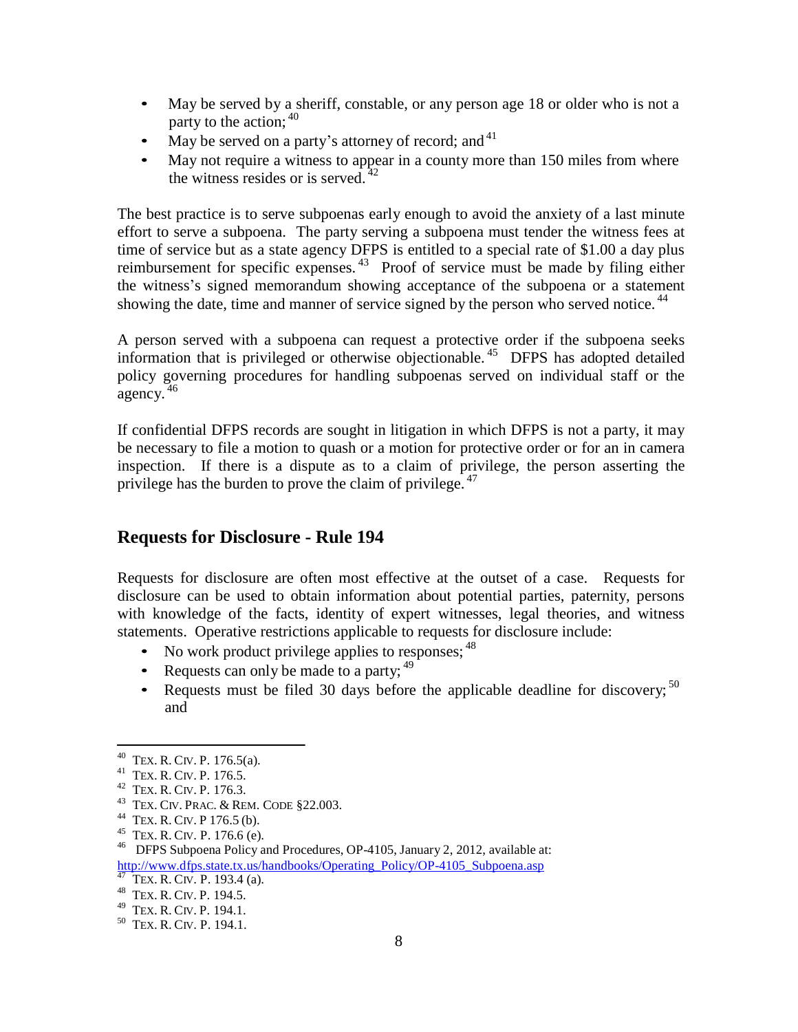- May be served by a sheriff, constable, or any person age 18 or older who is not a party to the action; <sup>40</sup>
- May be served on a party's attorney of record; and  $41$
- May not require a witness to appear in a county more than 150 miles from where the witness resides or is served. $4$

The best practice is to serve subpoenas early enough to avoid the anxiety of a last minute effort to serve a subpoena. The party serving a subpoena must tender the witness fees at time of service but as a state agency DFPS is entitled to a special rate of \$1.00 a day plus reimbursement for specific expenses.  $43$  Proof of service must be made by filing either the witness's signed memorandum showing acceptance of the subpoena or a statement showing the date, time and manner of service signed by the person who served notice.<sup>44</sup>

A person served with a subpoena can request a protective order if the subpoena seeks information that is privileged or otherwise objectionable.<sup>45</sup> DFPS has adopted detailed policy governing procedures for handling subpoenas served on individual staff or the agency.  $46$ 

If confidential DFPS records are sought in litigation in which DFPS is not a party, it may be necessary to file a motion to quash or a motion for protective order or for an in camera inspection. If there is a dispute as to a claim of privilege, the person asserting the privilege has the burden to prove the claim of privilege.  $47$ 

#### <span id="page-7-0"></span>**Requests for Disclosure - Rule 194**

Requests for disclosure are often most effective at the outset of a case. Requests for disclosure can be used to obtain information about potential parties, paternity, persons with knowledge of the facts, identity of expert witnesses, legal theories, and witness statements. Operative restrictions applicable to requests for disclosure include:

- No work product privilege applies to responses;  $48$
- Requests can only be made to a party;  $49$
- Requests must be filed 30 days before the applicable deadline for discovery;  $50$ and

 $^{40}$  TEX. R. CIV. P. 176.5(a).

<sup>&</sup>lt;sup>41</sup> TEX. R. CIV. P. 176.5.

<sup>&</sup>lt;sup>42</sup> TEX. R. CIV. P. 176.3.

<sup>43</sup>TEX. CIV. PRAC. & REM. CODE §22.003.

<sup>&</sup>lt;sup>44</sup> TEX. R. CIV. P 176.5 (b).

<sup>&</sup>lt;sup>45</sup> TEX. R. CIV. P. 176.6 (e).

<sup>&</sup>lt;sup>46</sup> DFPS Subpoena Policy and Procedures, OP-4105, January 2, 2012, available at: [http://www.dfps.state.tx.us/handbooks/Operating\\_Policy/OP-4105\\_Subpoena.asp](http://www.dfps.state.tx.us/handbooks/Operating_Policy/OP-4105_Subpoena.asp)

TEX. R. CIV. P. 193.4 (a).

<sup>&</sup>lt;sup>48</sup> TEX. R. CIV. P. 194.5.

<sup>&</sup>lt;sup>49</sup> TEX. R. CIV. P. 194.1.

<sup>&</sup>lt;sup>50</sup> TEX. R. CIV. P. 194.1.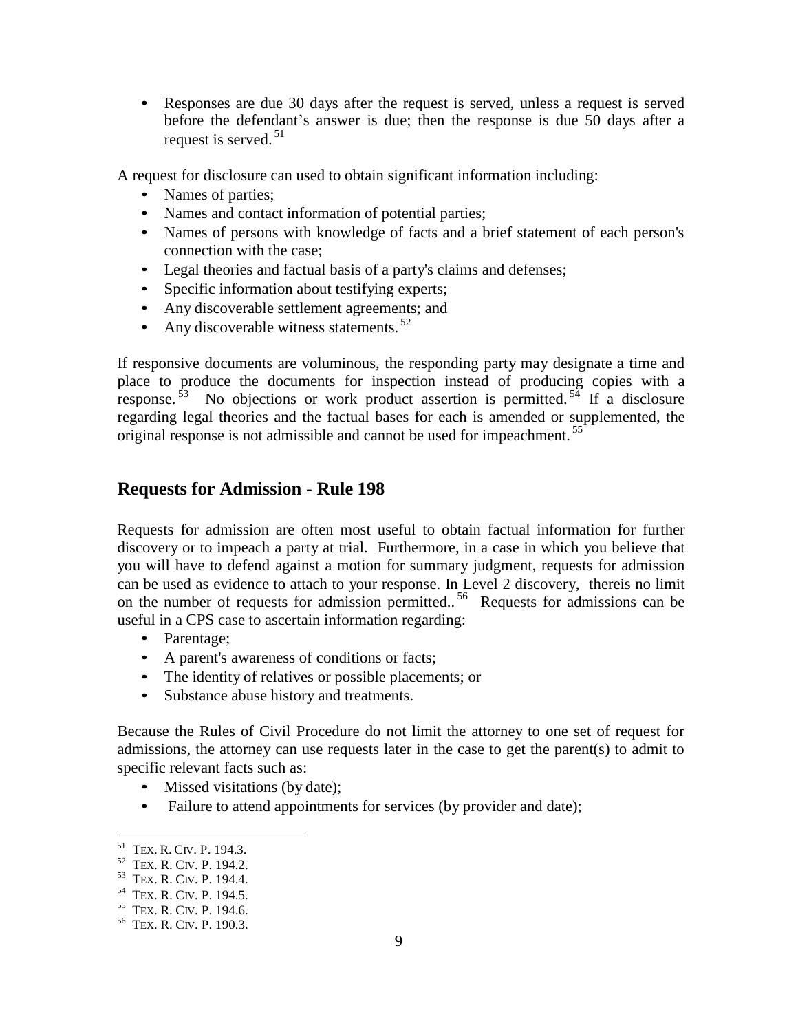• Responses are due 30 days after the request is served, unless a request is served before the defendant's answer is due; then the response is due 50 days after a request is served. <sup>51</sup>

A request for disclosure can used to obtain significant information including:

- Names of parties;
- Names and contact information of potential parties;
- Names of persons with knowledge of facts and a brief statement of each person's connection with the case;
- Legal theories and factual basis of a party's claims and defenses;
- Specific information about testifying experts;
- Any discoverable settlement agreements; and
- Any discoverable witness statements.  $52$

If responsive documents are voluminous, the responding party may designate a time and place to produce the documents for inspection instead of producing copies with a response.<sup>53</sup> No objections or work product assertion is permitted.<sup>54</sup> If a disclosure regarding legal theories and the factual bases for each is amended or supplemented, the original response is not admissible and cannot be used for impeachment.<sup>55</sup>

#### <span id="page-8-0"></span>**Requests for Admission - Rule 198**

Requests for admission are often most useful to obtain factual information for further discovery or to impeach a party at trial. Furthermore, in a case in which you believe that you will have to defend against a motion for summary judgment, requests for admission can be used as evidence to attach to your response. In Level 2 discovery, thereis no limit on the number of requests for admission permitted..<sup>56</sup> Requests for admissions can be useful in a CPS case to ascertain information regarding:

- Parentage;
- A parent's awareness of conditions or facts;
- The identity of relatives or possible placements; or
- Substance abuse history and treatments.

Because the Rules of Civil Procedure do not limit the attorney to one set of request for admissions, the attorney can use requests later in the case to get the parent(s) to admit to specific relevant facts such as:

- Missed visitations (by date);
- Failure to attend appointments for services (by provider and date);

<sup>&</sup>lt;sup>51</sup> TEX. R. CIV. P. 194.3.

<sup>&</sup>lt;sup>52</sup> TEX. R. CIV. P. 194.2.

<sup>&</sup>lt;sup>53</sup> TEX. R. CIV. P. 194.4.

<sup>&</sup>lt;sup>54</sup> TEX. R. CIV. P. 194.5.

<sup>&</sup>lt;sup>55</sup> TEX. R. CIV. P. 194.6.

<sup>56</sup> TEX. R. CIV. P. 190.3.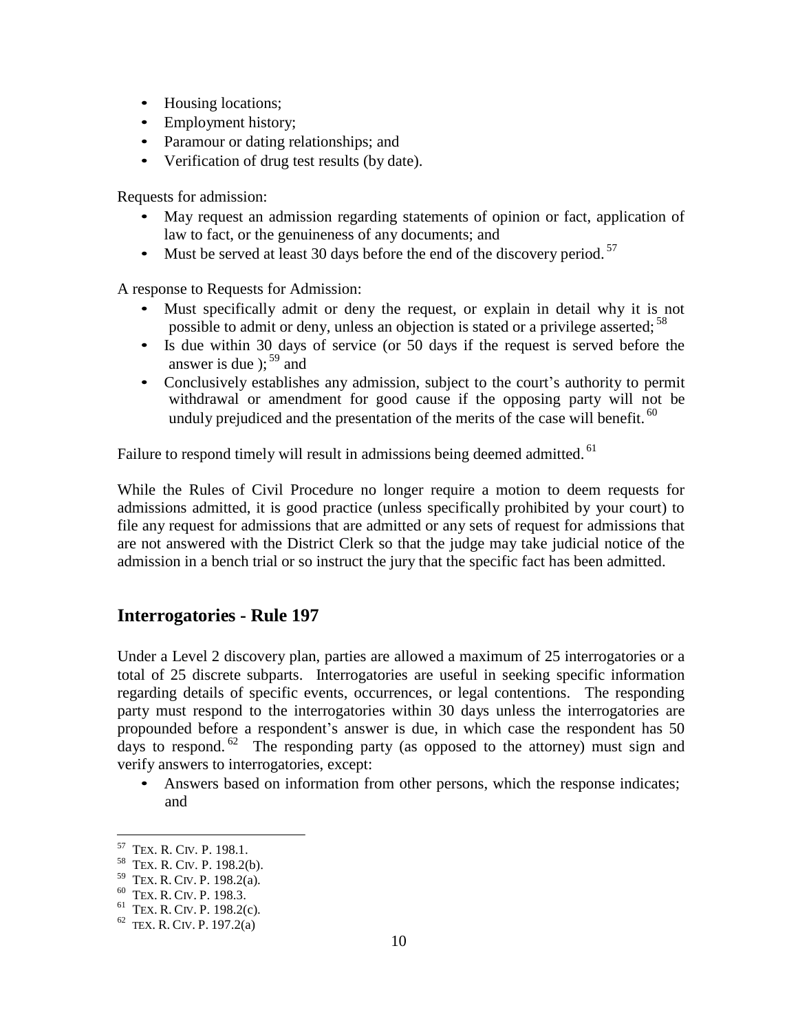- Housing locations;
- Employment history:
- Paramour or dating relationships; and
- Verification of drug test results (by date).

Requests for admission:

- May request an admission regarding statements of opinion or fact, application of law to fact, or the genuineness of any documents; and
- Must be served at least 30 days before the end of the discovery period.<sup>57</sup>

A response to Requests for Admission:

- Must specifically admit or deny the request, or explain in detail why it is not possible to admit or deny, unless an objection is stated or a privilege asserted; <sup>58</sup>
- Is due within 30 days of service (or 50 days if the request is served before the answer is due  $\chi^{59}$  and
- Conclusively establishes any admission, subject to the court's authority to permit withdrawal or amendment for good cause if the opposing party will not be unduly prejudiced and the presentation of the merits of the case will benefit.  $60$

Failure to respond timely will result in admissions being deemed admitted. <sup>61</sup>

While the Rules of Civil Procedure no longer require a motion to deem requests for admissions admitted, it is good practice (unless specifically prohibited by your court) to file any request for admissions that are admitted or any sets of request for admissions that are not answered with the District Clerk so that the judge may take judicial notice of the admission in a bench trial or so instruct the jury that the specific fact has been admitted.

#### <span id="page-9-0"></span>**Interrogatories - Rule 197**

Under a Level 2 discovery plan, parties are allowed a maximum of 25 interrogatories or a total of 25 discrete subparts. Interrogatories are useful in seeking specific information regarding details of specific events, occurrences, or legal contentions. The responding party must respond to the interrogatories within 30 days unless the interrogatories are propounded before a respondent's answer is due, in which case the respondent has 50 days to respond.  $62$  The responding party (as opposed to the attorney) must sign and verify answers to interrogatories, except:

Answers based on information from other persons, which the response indicates; and

<sup>&</sup>lt;sup>57</sup> TEX. R. CIV. P. 198.1.

<sup>&</sup>lt;sup>58</sup> TEX. R. CIV. P. 198.2(b).

<sup>&</sup>lt;sup>59</sup> TEX. R. CIV. P. 198.2(a).

<sup>&</sup>lt;sup>60</sup> TEX. R. CIV. P. 198.3.

 $61$  TEX. R. CIV. P. 198.2(c).

 $62$  TEX. R. CIV. P. 197.2(a)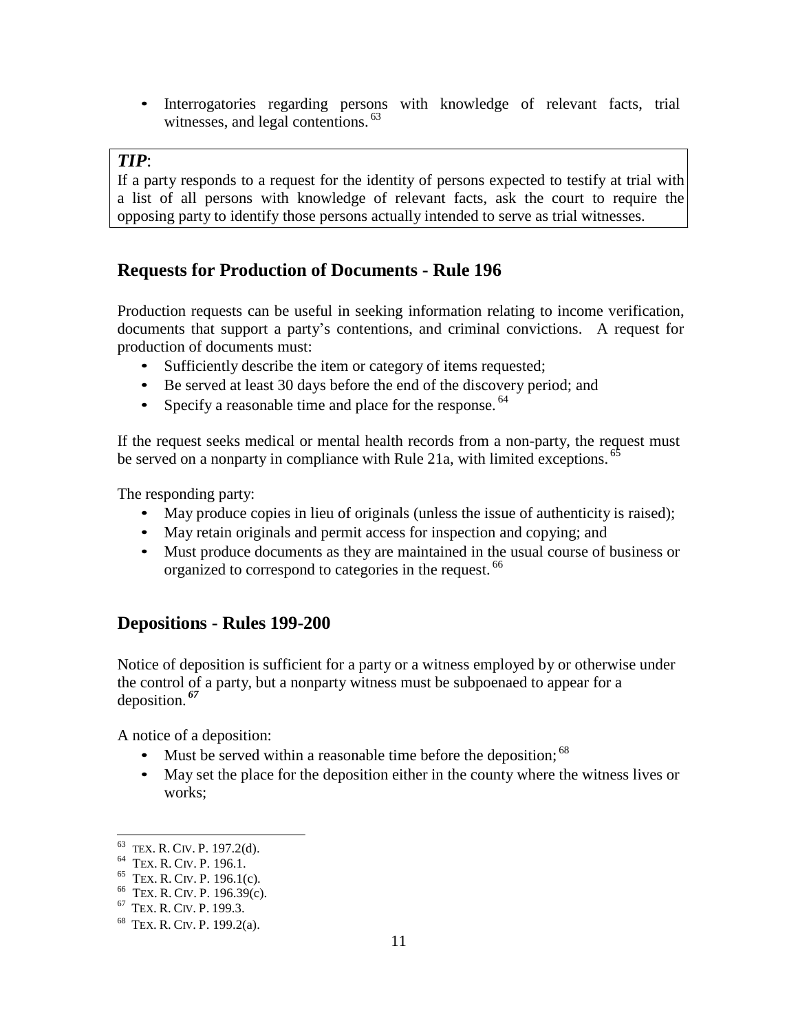• Interrogatories regarding persons with knowledge of relevant facts, trial witnesses, and legal contentions.<sup>63</sup>

## *TIP*:

If a party responds to a request for the identity of persons expected to testify at trial with a list of all persons with knowledge of relevant facts, ask the court to require the opposing party to identify those persons actually intended to serve as trial witnesses.

## <span id="page-10-0"></span>**Requests for Production of Documents - Rule 196**

Production requests can be useful in seeking information relating to income verification, documents that support a party's contentions, and criminal convictions. A request for production of documents must:

- Sufficiently describe the item or category of items requested;
- Be served at least 30 days before the end of the discovery period; and
- Specify a reasonable time and place for the response.  $64$

If the request seeks medical or mental health records from a non-party, the request must be served on a nonparty in compliance with Rule 21a, with limited exceptions.<sup>65</sup>

The responding party:

- May produce copies in lieu of originals (unless the issue of authenticity is raised);
- May retain originals and permit access for inspection and copying; and
- Must produce documents as they are maintained in the usual course of business or organized to correspond to categories in the request.<sup>66</sup>

## <span id="page-10-1"></span>**Depositions - Rules 199-200**

Notice of deposition is sufficient for a party or a witness employed by or otherwise under the control of a party, but a nonparty witness must be subpoenaed to appear for a deposition. *<sup>67</sup>*

A notice of a deposition:

- Must be served within a reasonable time before the deposition;  $^{68}$
- May set the place for the deposition either in the county where the witness lives or works;

 $63$  TEX. R. CIV. P. 197.2(d).

<sup>&</sup>lt;sup>64</sup> TEX. R. CIV. P. 196.1.

 $<sup>65</sup>$  TEX. R. CIV. P. 196.1(c).</sup>

<sup>&</sup>lt;sup>66</sup> TEX. R. CIV. P. 196.39(c).

<sup>&</sup>lt;sup>67</sup> TEX. R. CIV. P. 199.3.

<sup>&</sup>lt;sup>68</sup> TEX. R. CIV. P. 199.2(a).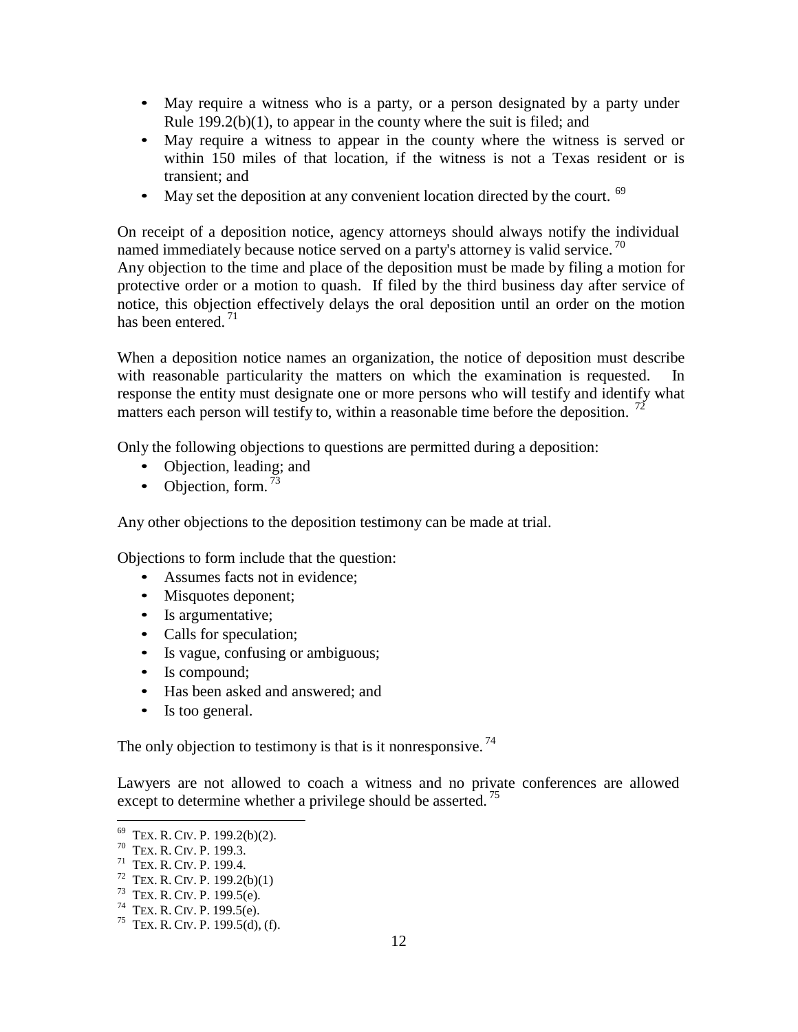- May require a witness who is a party, or a person designated by a party under Rule 199.2(b)(1), to appear in the county where the suit is filed; and
- May require a witness to appear in the county where the witness is served or within 150 miles of that location, if the witness is not a Texas resident or is transient; and
- May set the deposition at any convenient location directed by the court. <sup>69</sup>

On receipt of a deposition notice, agency attorneys should always notify the individual named immediately because notice served on a party's attorney is valid service.<sup>70</sup> Any objection to the time and place of the deposition must be made by filing a motion for protective order or a motion to quash. If filed by the third business day after service of notice, this objection effectively delays the oral deposition until an order on the motion has been entered.<sup>71</sup>

When a deposition notice names an organization, the notice of deposition must describe with reasonable particularity the matters on which the examination is requested. response the entity must designate one or more persons who will testify and identify what matters each person will testify to, within a reasonable time before the deposition.  $^{72}$ 

Only the following objections to questions are permitted during a deposition:

- Objection, leading; and
- Objection, form.  $^{73}$

Any other objections to the deposition testimony can be made at trial.

Objections to form include that the question:

- Assumes facts not in evidence:
- Misquotes deponent;
- Is argumentative;
- Calls for speculation;
- Is vague, confusing or ambiguous;
- Is compound;
- Has been asked and answered; and
- Is too general.

The only objection to testimony is that is it nonresponsive.<sup>74</sup>

Lawyers are not allowed to coach a witness and no private conferences are allowed except to determine whether a privilege should be asserted.<sup>75</sup>

<sup>&</sup>lt;sup>69</sup> TEX. R. CIV. P. 199.2(b)(2).

 $70$  TEX. R. CIV. P. 199.3.

<sup>71</sup> TEX. R. CIV. P. 199.4.

 $72$  TEX. R. CIV. P. 199.2(b)(1)

 $73$  TEX. R. CIV. P. 199.5(e).

 $74$  TEX. R. CIV. P. 199.5(e).

<sup>&</sup>lt;sup>75</sup> TEX. R. CIV. P. 199.5(d), (f).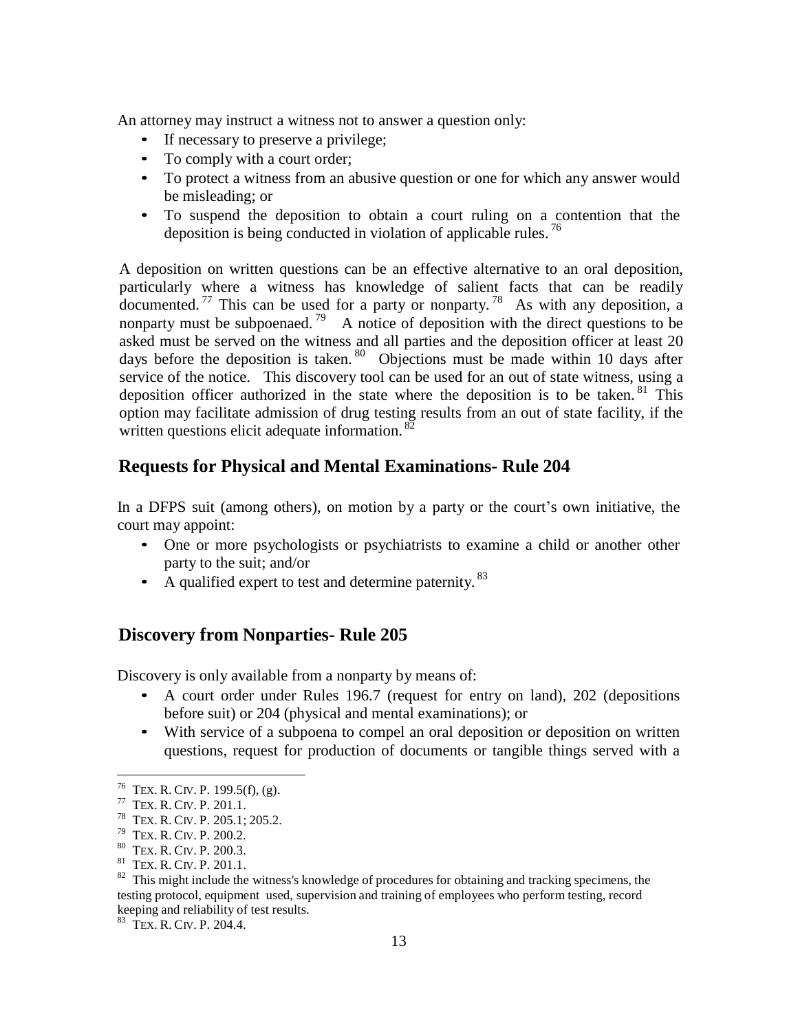An attorney may instruct a witness not to answer a question only:

- If necessary to preserve a privilege;
- To comply with a court order;
- To protect a witness from an abusive question or one for which any answer would be misleading; or
- To suspend the deposition to obtain a court ruling on a contention that the deposition is being conducted in violation of applicable rules.<sup>76</sup>

A deposition on written questions can be an effective alternative to an oral deposition, particularly where a witness has knowledge of salient facts that can be readily documented. <sup>77</sup> This can be used for a party or nonparty. <sup>78</sup> As with any deposition, a nonparty must be subpoenaed.<sup>79</sup> A notice of deposition with the direct questions to be asked must be served on the witness and all parties and the deposition officer at least 20 days before the deposition is taken.  $80$  Objections must be made within 10 days after service of the notice. This discovery tool can be used for an out of state witness, using a deposition officer authorized in the state where the deposition is to be taken.  $81$  This option may facilitate admission of drug testing results from an out of state facility, if the written questions elicit adequate information.<sup>82</sup>

#### <span id="page-12-0"></span>**Requests for Physical and Mental Examinations- Rule 204**

In a DFPS suit (among others), on motion by a party or the court's own initiative, the court may appoint:

- One or more psychologists or psychiatrists to examine a child or another other party to the suit; and/or
- A qualified expert to test and determine paternity. <sup>83</sup>

#### <span id="page-12-1"></span>**Discovery from Nonparties- Rule 205**

Discovery is only available from a nonparty by means of:

- A court order under Rules 196.7 (request for entry on land), 202 (depositions before suit) or 204 (physical and mental examinations); or
- With service of a subpoena to compel an oral deposition or deposition on written questions, request for production of documents or tangible things served with a

<sup>&</sup>lt;sup>76</sup> TEX. R. CIV. P. 199.5(f), (g).

<sup>&</sup>lt;sup>77</sup> TEX. R. CIV. P. 201.1.

<sup>&</sup>lt;sup>78</sup> TEX. R. CIV. P. 205.1; 205.2.

<sup>&</sup>lt;sup>79</sup> TEX. R. CIV. P. 200.2.

<sup>80</sup> TEX. R. CIV. P. 200.3.

<sup>&</sup>lt;sup>81</sup> TEX. R. CIV. P. 201.1.

 $82$  This might include the witness's knowledge of procedures for obtaining and tracking specimens, the testing protocol, equipment used, supervision and training of employees who perform testing, record keeping and reliability of test results.

<sup>&</sup>lt;sup>83</sup> TEX. R. CIV. P. 204.4.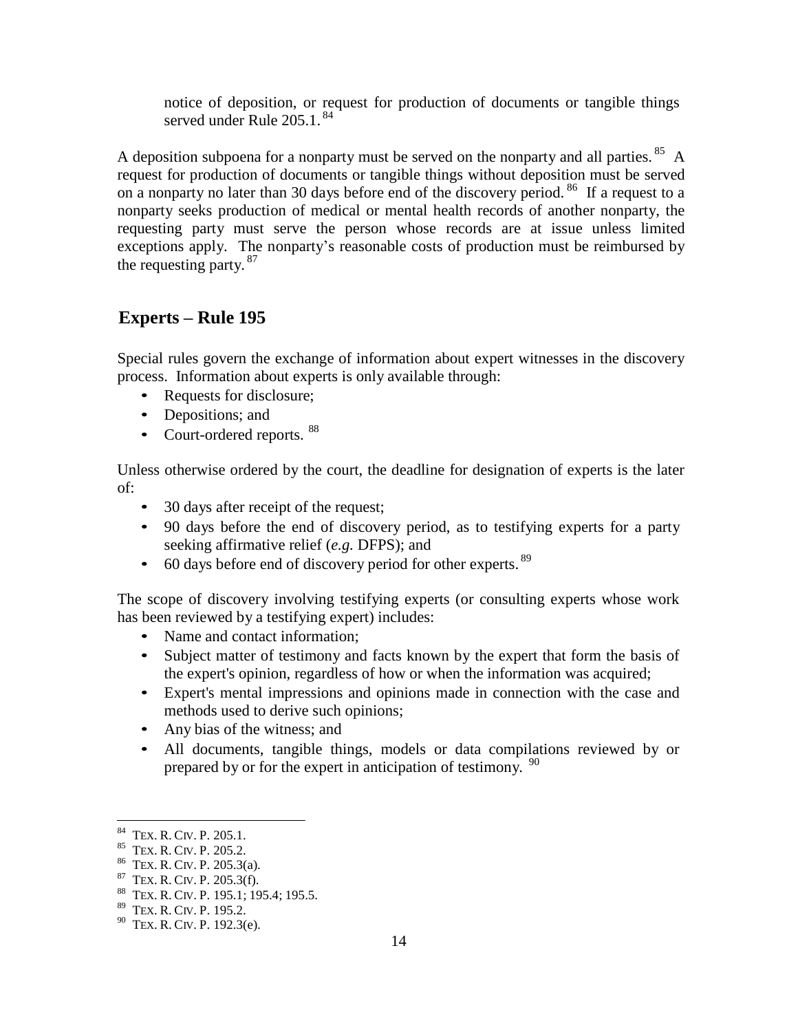notice of deposition, or request for production of documents or tangible things served under Rule 205.1.<sup>84</sup>

A deposition subpoena for a nonparty must be served on the nonparty and all parties.  $85$  A request for production of documents or tangible things without deposition must be served on a nonparty no later than 30 days before end of the discovery period.<sup>86</sup> If a request to a nonparty seeks production of medical or mental health records of another nonparty, the requesting party must serve the person whose records are at issue unless limited exceptions apply. The nonparty's reasonable costs of production must be reimbursed by the requesting party.  $87$ 

## <span id="page-13-0"></span>**Experts – Rule 195**

Special rules govern the exchange of information about expert witnesses in the discovery process. Information about experts is only available through:

- Requests for disclosure;
- Depositions; and
- Court-ordered reports. <sup>88</sup>

Unless otherwise ordered by the court, the deadline for designation of experts is the later of:

- 30 days after receipt of the request;
- 90 days before the end of discovery period, as to testifying experts for a party seeking affirmative relief (*e.g.* DFPS); and
- $\bullet$  60 days before end of discovery period for other experts.  $89$

The scope of discovery involving testifying experts (or consulting experts whose work has been reviewed by a testifying expert) includes:

- Name and contact information:
- Subject matter of testimony and facts known by the expert that form the basis of the expert's opinion, regardless of how or when the information was acquired;
- Expert's mental impressions and opinions made in connection with the case and methods used to derive such opinions;
- Any bias of the witness; and
- All documents, tangible things, models or data compilations reviewed by or prepared by or for the expert in anticipation of testimony. <sup>90</sup>

<sup>&</sup>lt;sup>84</sup> TEX. R. CIV. P. 205.1.

<sup>&</sup>lt;sup>85</sup> TEX. R. CIV. P. 205.2.

<sup>&</sup>lt;sup>86</sup> TEX. R. CIV. P. 205.3(a).

 $87$  TEX. R. CIV. P. 205.3(f).

<sup>&</sup>lt;sup>88</sup> TEX. R. CIV. P. 195.1; 195.4; 195.5.

<sup>89</sup> TEX. R. CIV. P. 195.2.

 $90$  TEX. R. CIV. P. 192.3(e).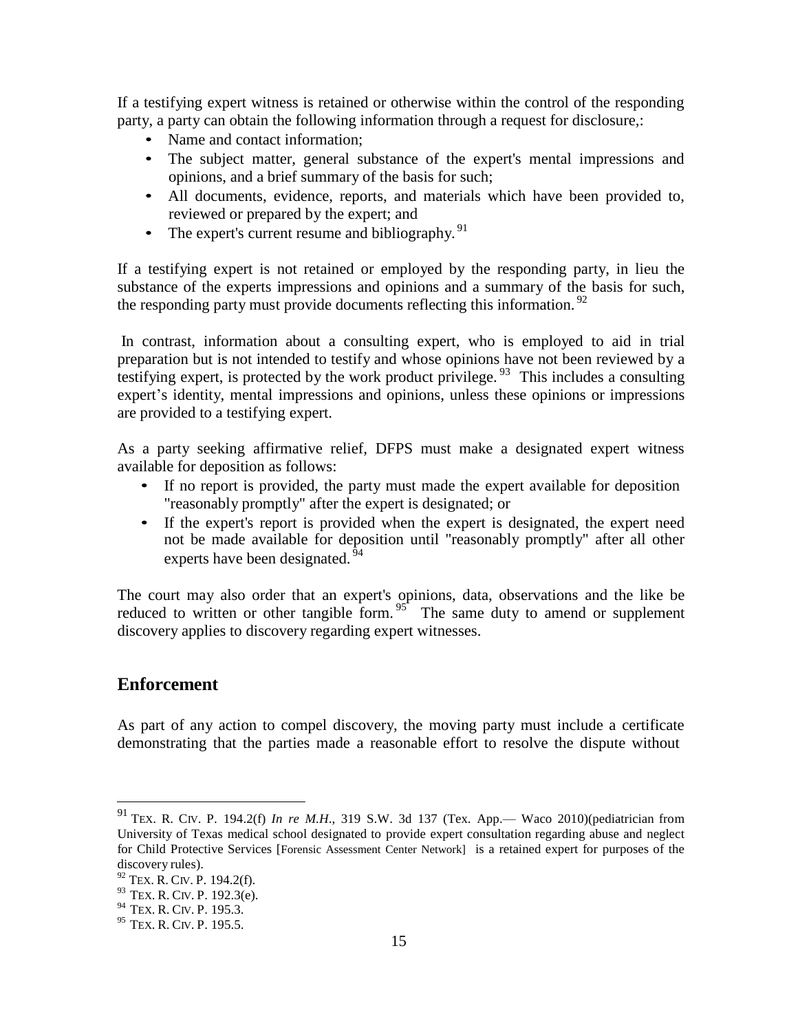If a testifying expert witness is retained or otherwise within the control of the responding party, a party can obtain the following information through a request for disclosure,:

- Name and contact information;
- The subject matter, general substance of the expert's mental impressions and opinions, and a brief summary of the basis for such;
- All documents, evidence, reports, and materials which have been provided to, reviewed or prepared by the expert; and
- The expert's current resume and bibliography.  $91$

If a testifying expert is not retained or employed by the responding party, in lieu the substance of the experts impressions and opinions and a summary of the basis for such, the responding party must provide documents reflecting this information.  $92$ 

In contrast, information about a consulting expert, who is employed to aid in trial preparation but is not intended to testify and whose opinions have not been reviewed by a testifying expert, is protected by the work product privilege.  $93$  This includes a consulting expert's identity, mental impressions and opinions, unless these opinions or impressions are provided to a testifying expert.

As a party seeking affirmative relief, DFPS must make a designated expert witness available for deposition as follows:

- If no report is provided, the party must made the expert available for deposition "reasonably promptly" after the expert is designated; or
- If the expert's report is provided when the expert is designated, the expert need not be made available for deposition until "reasonably promptly" after all other experts have been designated.<sup>94</sup>

The court may also order that an expert's opinions, data, observations and the like be reduced to written or other tangible form.  $95<sup>2</sup>$  The same duty to amend or supplement discovery applies to discovery regarding expert witnesses.

## <span id="page-14-0"></span>**Enforcement**

As part of any action to compel discovery, the moving party must include a certificate demonstrating that the parties made a reasonable effort to resolve the dispute without

<sup>&</sup>lt;sup>91</sup> TEX. R. CIV. P. 194.2(f) *In re M.H.*, 319 S.W. 3d 137 (Tex. App.— Waco 2010)(pediatrician from University of Texas medical school designated to provide expert consultation regarding abuse and neglect for Child Protective Services [Forensic Assessment Center Network] is a retained expert for purposes of the discovery rules).

<sup>92</sup> TEX. R. CIV. P. 194.2(f).

 $93$  TEX. R. CIV. P. 192.3(e).

<sup>&</sup>lt;sup>94</sup> TEX. R. CIV. P. 195.3.

<sup>&</sup>lt;sup>95</sup> TEX. R. CIV. P. 195.5.